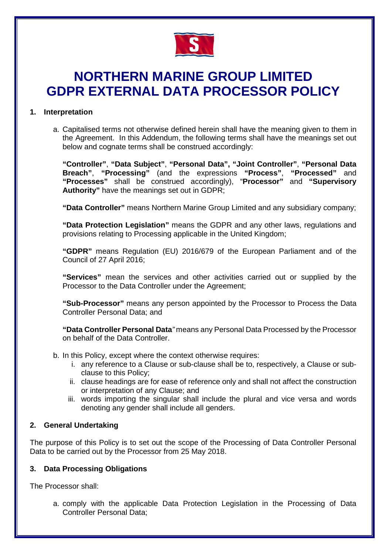

# **NORTHERN MARINE GROUP LIMITED GDPR EXTERNAL DATA PROCESSOR POLICY**

## **1. Interpretation**

a. Capitalised terms not otherwise defined herein shall have the meaning given to them in the Agreement. In this Addendum, the following terms shall have the meanings set out below and cognate terms shall be construed accordingly:

**"Controller"**, **"Data Subject"**, **"Personal Data", "Joint Controller"**, **"Personal Data Breach"**, **"Processing"** (and the expressions **"Process"**, **"Processed"** and **"Processes"** shall be construed accordingly), "**Processor"** and **"Supervisory Authority"** have the meanings set out in GDPR;

**"Data Controller"** means Northern Marine Group Limited and any subsidiary company;

**"Data Protection Legislation"** means the GDPR and any other laws, regulations and provisions relating to Processing applicable in the United Kingdom;

**"GDPR"** means Regulation (EU) 2016/679 of the European Parliament and of the Council of 27 April 2016;

**"Services"** mean the services and other activities carried out or supplied by the Processor to the Data Controller under the Agreement;

**"Sub-Processor"** means any person appointed by the Processor to Process the Data Controller Personal Data; and

**"Data Controller Personal Data***"* means any Personal Data Processed by the Processor on behalf of the Data Controller.

- b. In this Policy, except where the context otherwise requires:
	- i. any reference to a Clause or sub-clause shall be to, respectively, a Clause or subclause to this Policy;
	- ii. clause headings are for ease of reference only and shall not affect the construction or interpretation of any Clause; and
	- iii. words importing the singular shall include the plural and vice versa and words denoting any gender shall include all genders.

## **2. General Undertaking**

The purpose of this Policy is to set out the scope of the Processing of Data Controller Personal Data to be carried out by the Processor from 25 May 2018.

#### **3. Data Processing Obligations**

The Processor shall:

a. comply with the applicable Data Protection Legislation in the Processing of Data Controller Personal Data;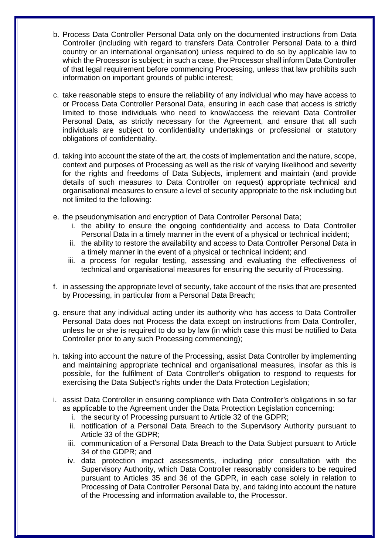- b. Process Data Controller Personal Data only on the documented instructions from Data Controller (including with regard to transfers Data Controller Personal Data to a third country or an international organisation) unless required to do so by applicable law to which the Processor is subject; in such a case, the Processor shall inform Data Controller of that legal requirement before commencing Processing, unless that law prohibits such information on important grounds of public interest;
- c. take reasonable steps to ensure the reliability of any individual who may have access to or Process Data Controller Personal Data, ensuring in each case that access is strictly limited to those individuals who need to know/access the relevant Data Controller Personal Data, as strictly necessary for the Agreement, and ensure that all such individuals are subject to confidentiality undertakings or professional or statutory obligations of confidentiality.
- d. taking into account the state of the art, the costs of implementation and the nature, scope, context and purposes of Processing as well as the risk of varying likelihood and severity for the rights and freedoms of Data Subjects, implement and maintain (and provide details of such measures to Data Controller on request) appropriate technical and organisational measures to ensure a level of security appropriate to the risk including but not limited to the following:
- e. the pseudonymisation and encryption of Data Controller Personal Data;
	- i. the ability to ensure the ongoing confidentiality and access to Data Controller Personal Data in a timely manner in the event of a physical or technical incident;
	- ii. the ability to restore the availability and access to Data Controller Personal Data in a timely manner in the event of a physical or technical incident; and
	- iii. a process for regular testing, assessing and evaluating the effectiveness of technical and organisational measures for ensuring the security of Processing.
- f. in assessing the appropriate level of security, take account of the risks that are presented by Processing, in particular from a Personal Data Breach;
- g. ensure that any individual acting under its authority who has access to Data Controller Personal Data does not Process the data except on instructions from Data Controller, unless he or she is required to do so by law (in which case this must be notified to Data Controller prior to any such Processing commencing);
- h. taking into account the nature of the Processing, assist Data Controller by implementing and maintaining appropriate technical and organisational measures, insofar as this is possible, for the fulfilment of Data Controller's obligation to respond to requests for exercising the Data Subject's rights under the Data Protection Legislation;
- i. assist Data Controller in ensuring compliance with Data Controller's obligations in so far as applicable to the Agreement under the Data Protection Legislation concerning:
	- i. the security of Processing pursuant to Article 32 of the GDPR;
	- ii. notification of a Personal Data Breach to the Supervisory Authority pursuant to Article 33 of the GDPR;
	- iii. communication of a Personal Data Breach to the Data Subject pursuant to Article 34 of the GDPR; and
	- iv. data protection impact assessments, including prior consultation with the Supervisory Authority, which Data Controller reasonably considers to be required pursuant to Articles 35 and 36 of the GDPR, in each case solely in relation to Processing of Data Controller Personal Data by, and taking into account the nature of the Processing and information available to, the Processor.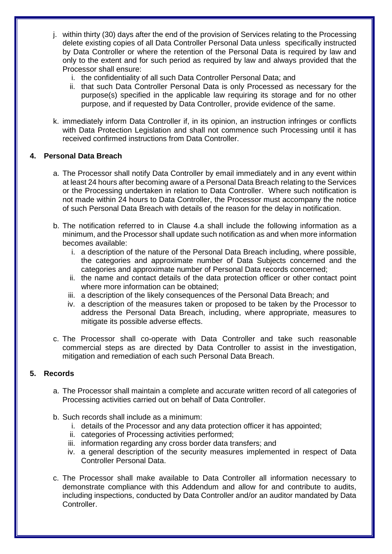- j. within thirty (30) days after the end of the provision of Services relating to the Processing delete existing copies of all Data Controller Personal Data unless specifically instructed by Data Controller or where the retention of the Personal Data is required by law and only to the extent and for such period as required by law and always provided that the Processor shall ensure:
	- i. the confidentiality of all such Data Controller Personal Data; and
	- ii. that such Data Controller Personal Data is only Processed as necessary for the purpose(s) specified in the applicable law requiring its storage and for no other purpose, and if requested by Data Controller, provide evidence of the same.
- k. immediately inform Data Controller if, in its opinion, an instruction infringes or conflicts with Data Protection Legislation and shall not commence such Processing until it has received confirmed instructions from Data Controller.

#### **4. Personal Data Breach**

- a. The Processor shall notify Data Controller by email immediately and in any event within at least 24 hours after becoming aware of a Personal Data Breach relating to the Services or the Processing undertaken in relation to Data Controller. Where such notification is not made within 24 hours to Data Controller, the Processor must accompany the notice of such Personal Data Breach with details of the reason for the delay in notification.
- b. The notification referred to in Clause 4.a shall include the following information as a minimum, and the Processor shall update such notification as and when more information becomes available:
	- i. a description of the nature of the Personal Data Breach including, where possible, the categories and approximate number of Data Subjects concerned and the categories and approximate number of Personal Data records concerned;
	- ii. the name and contact details of the data protection officer or other contact point where more information can be obtained;
	- iii. a description of the likely consequences of the Personal Data Breach; and
	- iv. a description of the measures taken or proposed to be taken by the Processor to address the Personal Data Breach, including, where appropriate, measures to mitigate its possible adverse effects.
- c. The Processor shall co-operate with Data Controller and take such reasonable commercial steps as are directed by Data Controller to assist in the investigation, mitigation and remediation of each such Personal Data Breach.

## **5. Records**

- a. The Processor shall maintain a complete and accurate written record of all categories of Processing activities carried out on behalf of Data Controller.
- b. Such records shall include as a minimum:
	- i. details of the Processor and any data protection officer it has appointed;
	- ii. categories of Processing activities performed;
	- iii. information regarding any cross border data transfers; and
	- iv. a general description of the security measures implemented in respect of Data Controller Personal Data.
- c. The Processor shall make available to Data Controller all information necessary to demonstrate compliance with this Addendum and allow for and contribute to audits, including inspections, conducted by Data Controller and/or an auditor mandated by Data Controller.